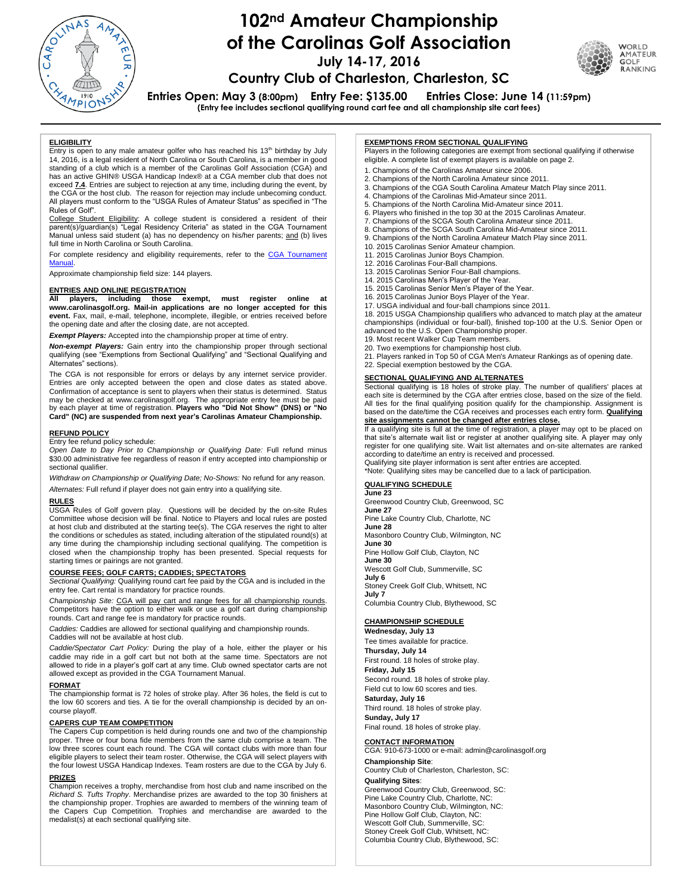

# **102nd Amateur Championship of the Carolinas Golf Association July 14-17, 2016**



**Country Club of Charleston, Charleston, SC Entries Open: May 3 (8:00pm) Entry Fee: \$135.00 Entries Close: June 14 (11:59pm)**

**(Entry fee includes sectional qualifying round cart fee and all championship site cart fees)**

#### **ELIGIBILITY**

Entry is open to any male amateur golfer who has reached his  $13<sup>th</sup>$  birthday by July 14, 2016, is a legal resident of North Carolina or South Carolina, is a member in good standing of a club which is a member of the Carolinas Golf Association (CGA) and has an active GHIN® USGA Handicap Index® at a CGA member club that does not exceed **7.4**. Entries are subject to rejection at any time, including during the event, by the CGA or the host club. The reason for rejection may include unbecoming conduct. All players must conform to the "USGA Rules of Amateur Status" as specified in "The Rules of Golf".

College Student Eligibility: A college student is considered a resident of their<br>parent(s)/guardian(s) "Legal Residency Criteria" as stated in the CGA Tournament Manual unless said student (a) has no dependency on his/her parents; and (b) lives full time in North Carolina or South Carolina.

For complete residency and eligibility requirements, refer to the CGA Tournament **Manual** 

Approximate championship field size: 144 players.

## **ENTRIES AND ONLINE REGISTRATION**

**All players, including those exempt, must register online at [www.carolinasgolf.org.](http://www.thecga.org/) Mail-in applications are no longer accepted for this event.** Fax, mail, e-mail, telephone, incomplete, illegible, or entries received before the opening date and after the closing date, are not accepted.

*Exempt Players:* Accepted into the championship proper at time of entry.

*Non-exempt Players:* Gain entry into the championship proper through sectional qualifying (see "Exemptions from Sectional Qualifying" and "Sectional Qualifying and Alternates" sections).

 The CGA is not responsible for errors or delays by any internet service provider. Entries are only accepted between the open and close dates as stated above. Confirmation of acceptance is sent to players when their status is determined. Status may be checked at www.carolinasgolf.org. The appropriate entry fee must be paid by each player at time of registration. **Players who "Did Not Show" (DNS) or "No Card" (NC) are suspended from next year's Carolinas Amateur Championship.**

#### **REFUND POLICY**

Entry fee refund policy schedule:

*Open Date to Day Prior to Championship or Qualifying Date:* Full refund minus \$30.00 administrative fee regardless of reason if entry accepted into championship or sectional qualifier.

*Withdraw on Championship or Qualifying Date; No-Shows:* No refund for any reason. *Alternates:* Full refund if player does not gain entry into a qualifying site.

#### **RULES**

USGA Rules of Golf govern play. Questions will be decided by the on-site Rules Committee whose decision will be final. Notice to Players and local rules are posted at host club and distributed at the starting tee(s). The CGA reserves the right to alter the conditions or schedules as stated, including alteration of the stipulated round(s) at any time during the championship including sectional qualifying. The competition is closed when the championship trophy has been presented. Special requests for starting times or pairings are not granted.

**COURSE FEES; GOLF CARTS; CADDIES; SPECTATORS** *Sectional Qualifying:* Qualifying round cart fee paid by the CGA and is included in the entry fee. Cart rental is mandatory for practice rounds.

*Championship Site:* CGA will pay cart and range fees for all championship rounds. Competitors have the option to either walk or use a golf cart during championship rounds. Cart and range fee is mandatory for practice rounds.

*Caddies:* Caddies are allowed for sectional qualifying and championship rounds. Caddies will not be available at host club.

*Caddie/Spectator Cart Policy:* During the play of a hole, either the player or his caddie may ride in a golf cart but not both at the same time. Spectators are not allowed to ride in a player's golf cart at any time. Club owned spectator carts are not allowed except as provided in the CGA Tournament Manual.

#### **FORMAT**

The championship format is 72 holes of stroke play. After 36 holes, the field is cut to the low 60 scorers and ties. A tie for the overall championship is decided by an oncourse playoff.

### **CAPERS CUP TEAM COMPETITION**

The Capers Cup competition is held during rounds one and two of the championship proper. Three or four bona fide members from the same club comprise a team. The low three scores count each round. The CGA will contact clubs with more than four eligible players to select their team roster. Otherwise, the CGA will select players with the four lowest USGA Handicap Indexes. Team rosters are due to the CGA by July 6.

#### **PRIZES**

Champion receives a trophy, merchandise from host club and name inscribed on the *Richard S. Tufts Trophy*. Merchandise prizes are awarded to the top 30 finishers at the championship proper. Trophies are awarded to members of the winning team of the Capers Cup Competition. Trophies and merchandise are awarded to the medalist(s) at each sectional qualifying site.

#### **EXEMPTIONS FROM SECTIONAL QUALIFYING**

Players in the following categories are exempt from sectional qualifying if otherwise eligible. A complete list of exempt players is available on page 2.

- 1. Champions of the Carolinas Amateur since 2006.
- 2. Champions of the North Carolina Amateur since 2011.
- 3. Champions of the CGA South Carolina Amateur Match Play since 2011.
- 4. Champions of the Carolinas Mid-Amateur since 2011.
- 5. Champions of the North Carolina Mid-Amateur since 2011. 6. Players who finished in the top 30 at the 2015 Carolinas Amateur.
- 7. Champions of the SCGA South Carolina Amateur since 2011.
- 8. Champions of the SCGA South Carolina Mid-Amateur since 2011.
- 9. Champions of the North Carolina Amateur Match Play since 2011.
- 10. 2015 Carolinas Senior Amateur champion.
- 11. 2015 Carolinas Junior Boys Champion.
- 12. 2016 Carolinas Four-Ball champions.
- 13. 2015 Carolinas Senior Four-Ball champions.
- 14. 2015 Carolinas Men's Player of the Year.
- 15. 2015 Carolinas Senior Men's Player of the Year. 16. 2015 Carolinas Junior Boys Player of the Year.
- 17. USGA individual and four-ball champions since 2011.

18. 2015 USGA Championship qualifiers who advanced to match play at the amateur championships (individual or four-ball), finished top-100 at the U.S. Senior Open or advanced to the U.S. Open Championship proper.

- 19. Most recent Walker Cup Team members.
- 20. Two exemptions for championship host club.
- 21. Players ranked in Top 50 of CGA Men's Amateur Rankings as of opening date.
- 22. Special exemption bestowed by the CGA.

#### **SECTIONAL QUALIFYING AND ALTERNATES**

Sectional qualifying is 18 holes of stroke play. The number of qualifiers' places at each site is determined by the CGA after entries close, based on the size of the field. All ties for the final qualifying position qualify for the championship. Assignment is based on the date/time the CGA receives and processes each entry form. **Qualifying** 

# **site assignments cannot be changed after entries close.** If a qualifying site is full at the time of registration, a player may opt to be placed on that site's alternate wait list or register at another qualifying site. A player may only

register for one qualifying site. Wait list alternates and on-site alternates are ranked according to date/time an entry is received and processed. Qualifying site player information is sent after entries are accepted.

\*Note: Qualifying sites may be cancelled due to a lack of participation.

#### **QUALIFYING SCHEDULE**

**June 23** Greenwood Country Club, Greenwood, SC **June 27** Pine Lake Country Club, Charlotte, NC **June 28** Masonboro Country Club, Wilmington, NC **June 30** Pine Hollow Golf Club, Clayton, NC **June 30** Wescott Golf Club, Summerville, SC **July 6** Stoney Creek Golf Club, Whitsett, NC **July 7** Columbia Country Club, Blythewood, SC

### **CHAMPIONSHIP SCHEDULE**

**Wednesday, July 13** Tee times available for practice. **Thursday, July 14** First round. 18 holes of stroke play. **Friday, July 15** Second round. 18 holes of stroke play. Field cut to low 60 scores and ties. **Saturday, July 16** Third round. 18 holes of stroke play. **Sunday, July 17** Final round. 18 holes of stroke play.

#### **CONTACT INFORMATION**

CGA: 910-673-1000 or e-mail[: admin@carolinasgolf.org](mailto:info@carolinasgolf.org) **Championship Site**: Country Club of Charleston, Charleston, SC: **Qualifying Sites**: Greenwood Country Club, Greenwood, SC: Pine Lake Country Club, Charlotte, NC: Masonboro Country Club, Wilmington, NC: Pine Hollow Golf Club, Clayton, NC: Wescott Golf Club, Summerville, SC: Stoney Creek Golf Club, Whitsett, NC Columbia Country Club, Blythewood, SC: